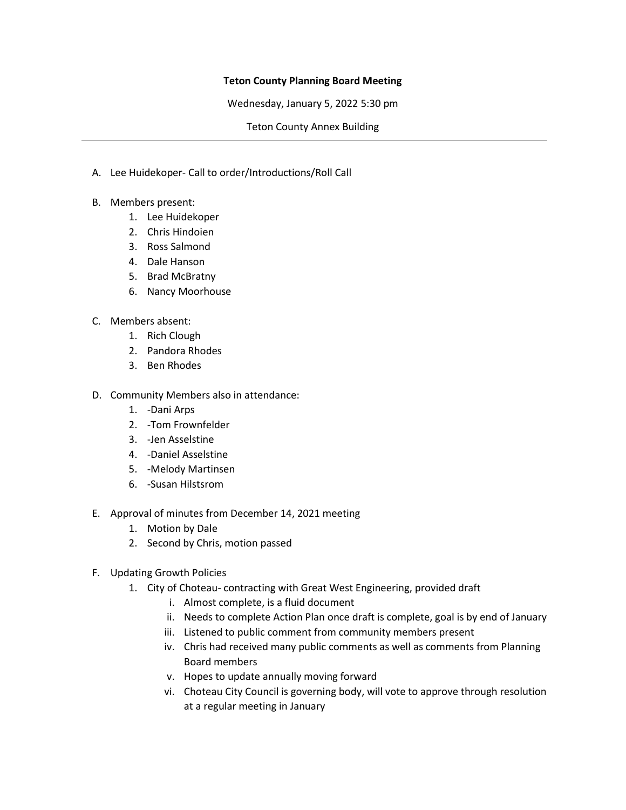## **Teton County Planning Board Meeting**

Wednesday, January 5, 2022 5:30 pm

Teton County Annex Building

- A. Lee Huidekoper- Call to order/Introductions/Roll Call
- B. Members present:
	- 1. Lee Huidekoper
	- 2. Chris Hindoien
	- 3. Ross Salmond
	- 4. Dale Hanson
	- 5. Brad McBratny
	- 6. Nancy Moorhouse
- C. Members absent:
	- 1. Rich Clough
	- 2. Pandora Rhodes
	- 3. Ben Rhodes
- D. Community Members also in attendance:
	- 1. -Dani Arps
	- 2. -Tom Frownfelder
	- 3. -Jen Asselstine
	- 4. -Daniel Asselstine
	- 5. -Melody Martinsen
	- 6. -Susan Hilstsrom
- E. Approval of minutes from December 14, 2021 meeting
	- 1. Motion by Dale
	- 2. Second by Chris, motion passed
- F. Updating Growth Policies
	- 1. City of Choteau- contracting with Great West Engineering, provided draft
		- i. Almost complete, is a fluid document
		- ii. Needs to complete Action Plan once draft is complete, goal is by end of January
		- iii. Listened to public comment from community members present
		- iv. Chris had received many public comments as well as comments from Planning Board members
		- v. Hopes to update annually moving forward
		- vi. Choteau City Council is governing body, will vote to approve through resolution at a regular meeting in January